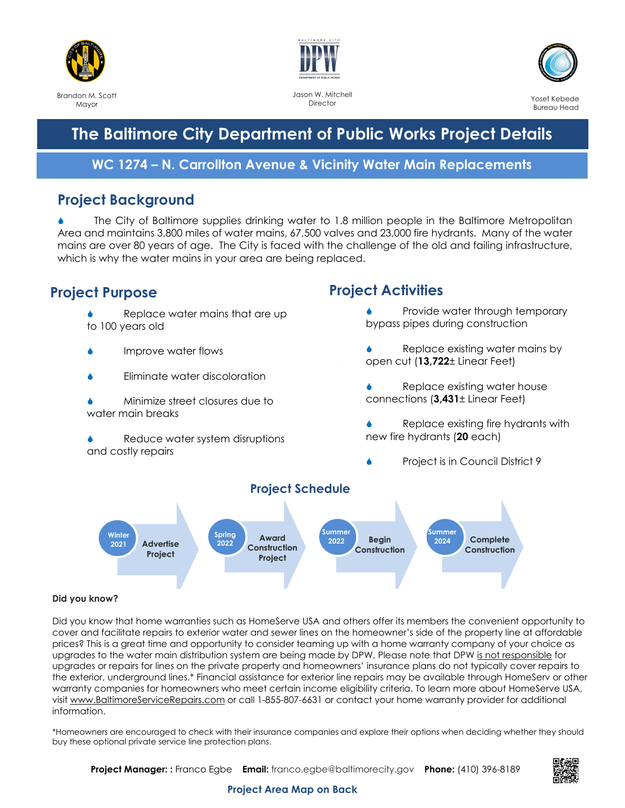



Jason W. Mitchell **Director** 



# **The Baltimore City Department of Public Works Project Details**

#### **WC 1274 – N. Carrollton Avenue & Vicinity Water Main Replacements**

#### **Project Background**

 The City of Baltimore supplies drinking water to 1.8 million people in the Baltimore Metropolitan Area and maintains 3,800 miles of water mains, 67,500 valves and 23,000 fire hydrants. Many of the water mains are over 80 years of age. The City is faced with the challenge of the old and failing infrastructure, which is why the water mains in your area are being replaced.

### **Project Purpose**

- Replace water mains that are up to 100 years old
- Improve water flows
- Eliminate water discoloration
- Minimize street closures due to water main breaks
- Reduce water system disruptions and costly repairs

## **Project Activities**

- Provide water through temporary bypass pipes during construction
- Replace existing water mains by open cut (**13,722**± Linear Feet)
- Replace existing water house connections (**3,431**± Linear Feet)
- Replace existing fire hydrants with new fire hydrants (**20** each)
	- Project is in Council District 9



#### **Did you know?**

Did you know that home warranties such as HomeServe USA and others offer its members the convenient opportunity to cover and facilitate repairs to exterior water and sewer lines on the homeowner's side of the property line at affordable prices? This is a great time and opportunity to consider teaming up with a home warranty company of your choice as upgrades to the water main distribution system are being made by DPW. Please note that DPW is not responsible for upgrades or repairs for lines on the private property and homeowners' insurance plans do not typically cover repairs to the exterior, underground lines.\* Financial assistance for exterior line repairs may be available through HomeServ or other warranty companies for homeowners who meet certain income eligibility criteria. To learn more about HomeServe USA, visit www.BaltimoreServiceRepairs.com or call 1-855-807-6631 or contact your home warranty provider for additional information.

\*Homeowners are encouraged to check with their insurance companies and explore their options when deciding whether they should buy these optional private service line protection plans.

**Project Manager: :** Franco Egbe **Email:** franco.egbe@baltimorecity.gov **Phone:** (410) 396-8189